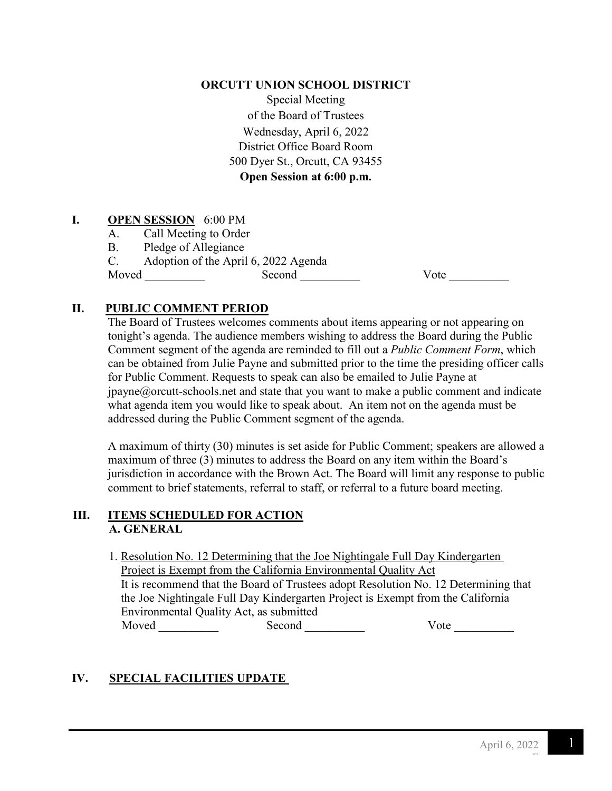#### **ORCUTT UNION SCHOOL DISTRICT**

Special Meeting of the Board of Trustees Wednesday, April 6, 2022 District Office Board Room 500 Dyer St., Orcutt, CA 93455 **Open Session at 6:00 p.m.**

## **I. OPEN SESSION** 6:00 PM

- A. Call Meeting to Order
- B. Pledge of Allegiance

C. Adoption of the April 6, 2022 Agenda

Moved \_\_\_\_\_\_\_\_\_\_ Second \_\_\_\_\_\_\_\_\_\_ Vote \_\_\_\_\_\_\_\_\_\_

## **II. PUBLIC COMMENT PERIOD**

The Board of Trustees welcomes comments about items appearing or not appearing on tonight's agenda. The audience members wishing to address the Board during the Public Comment segment of the agenda are reminded to fill out a *Public Comment Form*, which can be obtained from Julie Payne and submitted prior to the time the presiding officer calls for Public Comment. Requests to speak can also be emailed to Julie Payne at  $ipavne@orcut-schools.net$  and state that you want to make a public comment and indicate what agenda item you would like to speak about. An item not on the agenda must be addressed during the Public Comment segment of the agenda.

A maximum of thirty (30) minutes is set aside for Public Comment; speakers are allowed a maximum of three (3) minutes to address the Board on any item within the Board's jurisdiction in accordance with the Brown Act. The Board will limit any response to public comment to brief statements, referral to staff, or referral to a future board meeting.

## **III. ITEMS SCHEDULED FOR ACTION A. GENERAL**

1. Resolution No. 12 Determining that the Joe Nightingale Full Day Kindergarten Project is Exempt from the California Environmental Quality Act It is recommend that the Board of Trustees adopt Resolution No. 12 Determining that the Joe Nightingale Full Day Kindergarten Project is Exempt from the California Environmental Quality Act, as submitted Moved \_\_\_\_\_\_\_\_\_\_\_\_\_ Second \_\_\_\_\_\_\_\_\_\_\_ Vote \_\_\_\_\_\_\_\_\_\_

## **IV. SPECIAL FACILITIES UPDATE**

F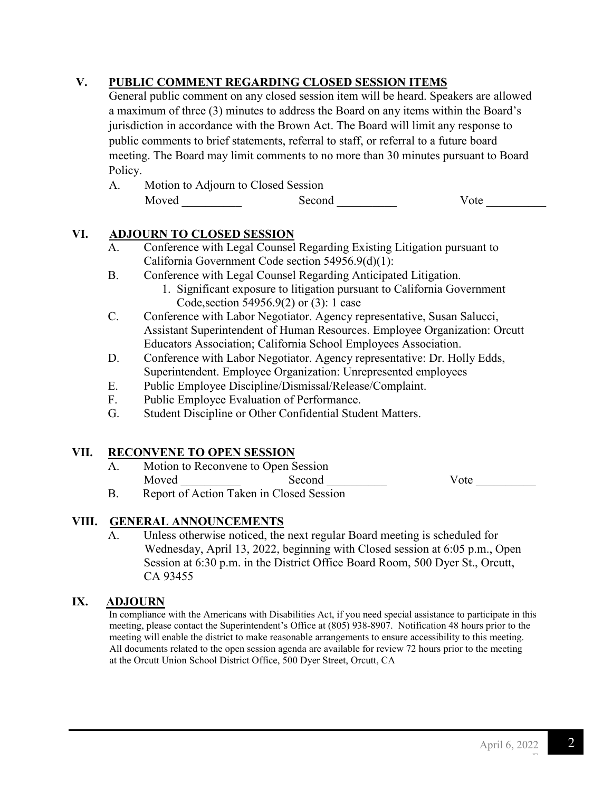## **V. PUBLIC COMMENT REGARDING CLOSED SESSION ITEMS**

 General public comment on any closed session item will be heard. Speakers are allowed a maximum of three (3) minutes to address the Board on any items within the Board's jurisdiction in accordance with the Brown Act. The Board will limit any response to public comments to brief statements, referral to staff, or referral to a future board meeting. The Board may limit comments to no more than 30 minutes pursuant to Board Policy.

| Motion to Adjourn to Closed Session |        |      |
|-------------------------------------|--------|------|
| Moved                               | Second | Vote |

## **VI. ADJOURN TO CLOSED SESSION**

- A. Conference with Legal Counsel Regarding Existing Litigation pursuant to California Government Code section 54956.9(d)(1):
- B. Conference with Legal Counsel Regarding Anticipated Litigation.
	- 1. Significant exposure to litigation pursuant to California Government Code,section 54956.9(2) or (3): 1 case
- C. Conference with Labor Negotiator. Agency representative, Susan Salucci, Assistant Superintendent of Human Resources. Employee Organization: Orcutt Educators Association; California School Employees Association.
- D. Conference with Labor Negotiator. Agency representative: Dr. Holly Edds, Superintendent. Employee Organization: Unrepresented employees
- E. Public Employee Discipline/Dismissal/Release/Complaint.
- F. Public Employee Evaluation of Performance.
- G. Student Discipline or Other Confidential Student Matters.

#### **VII. RECONVENE TO OPEN SESSION**

- A. Motion to Reconvene to Open Session Moved Second Second Vote
- B. Report of Action Taken in Closed Session

## **VIII. GENERAL ANNOUNCEMENTS**

Unless otherwise noticed, the next regular Board meeting is scheduled for Wednesday, April 13, 2022, beginning with Closed session at 6:05 p.m., Open Session at 6:30 p.m. in the District Office Board Room, 500 Dyer St., Orcutt, CA 93455

## **IX. ADJOURN**

In compliance with the Americans with Disabilities Act, if you need special assistance to participate in this meeting, please contact the Superintendent's Office at (805) 938-8907. Notification 48 hours prior to the meeting will enable the district to make reasonable arrangements to ensure accessibility to this meeting. All documents related to the open session agenda are available for review 72 hours prior to the meeting at the Orcutt Union School District Office, 500 Dyer Street, Orcutt, CA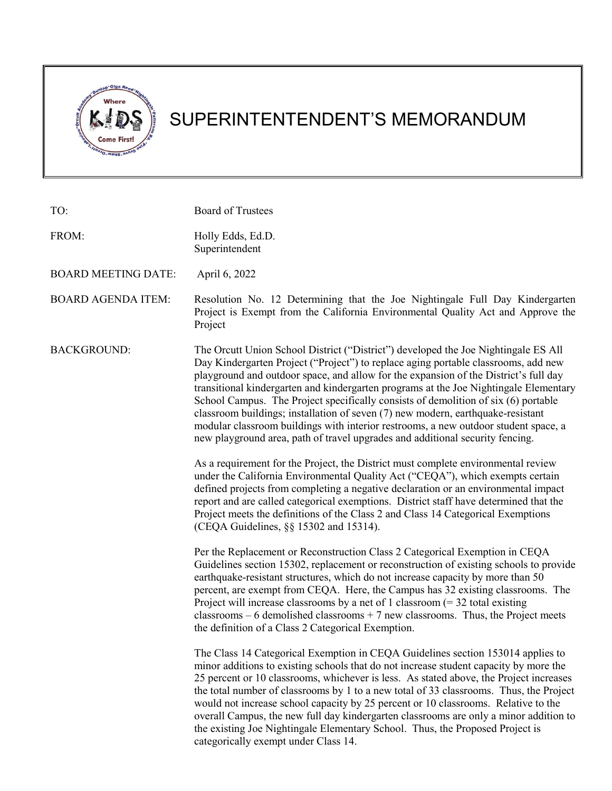

# SUPERINTENTENDENT'S MEMORANDUM

| TO:                        | <b>Board of Trustees</b>                                                                                                                                                                                                                                                                                                                                                                                                                                                                                                                                                                                                                                                                                                                                                                                                                                                                                                                                                                                                                                                                                                                                                                                                                                    |
|----------------------------|-------------------------------------------------------------------------------------------------------------------------------------------------------------------------------------------------------------------------------------------------------------------------------------------------------------------------------------------------------------------------------------------------------------------------------------------------------------------------------------------------------------------------------------------------------------------------------------------------------------------------------------------------------------------------------------------------------------------------------------------------------------------------------------------------------------------------------------------------------------------------------------------------------------------------------------------------------------------------------------------------------------------------------------------------------------------------------------------------------------------------------------------------------------------------------------------------------------------------------------------------------------|
| FROM:                      | Holly Edds, Ed.D.<br>Superintendent                                                                                                                                                                                                                                                                                                                                                                                                                                                                                                                                                                                                                                                                                                                                                                                                                                                                                                                                                                                                                                                                                                                                                                                                                         |
| <b>BOARD MEETING DATE:</b> | April 6, 2022                                                                                                                                                                                                                                                                                                                                                                                                                                                                                                                                                                                                                                                                                                                                                                                                                                                                                                                                                                                                                                                                                                                                                                                                                                               |
| <b>BOARD AGENDA ITEM:</b>  | Resolution No. 12 Determining that the Joe Nightingale Full Day Kindergarten<br>Project is Exempt from the California Environmental Quality Act and Approve the<br>Project                                                                                                                                                                                                                                                                                                                                                                                                                                                                                                                                                                                                                                                                                                                                                                                                                                                                                                                                                                                                                                                                                  |
| <b>BACKGROUND:</b>         | The Orcutt Union School District ("District") developed the Joe Nightingale ES All<br>Day Kindergarten Project ("Project") to replace aging portable classrooms, add new<br>playground and outdoor space, and allow for the expansion of the District's full day<br>transitional kindergarten and kindergarten programs at the Joe Nightingale Elementary<br>School Campus. The Project specifically consists of demolition of six (6) portable<br>classroom buildings; installation of seven (7) new modern, earthquake-resistant<br>modular classroom buildings with interior restrooms, a new outdoor student space, a<br>new playground area, path of travel upgrades and additional security fencing.<br>As a requirement for the Project, the District must complete environmental review<br>under the California Environmental Quality Act ("CEQA"), which exempts certain<br>defined projects from completing a negative declaration or an environmental impact<br>report and are called categorical exemptions. District staff have determined that the<br>Project meets the definitions of the Class 2 and Class 14 Categorical Exemptions<br>(CEQA Guidelines, §§ 15302 and 15314).                                                              |
|                            | Per the Replacement or Reconstruction Class 2 Categorical Exemption in CEQA<br>Guidelines section 15302, replacement or reconstruction of existing schools to provide<br>earthquake-resistant structures, which do not increase capacity by more than 50<br>percent, are exempt from CEQA. Here, the Campus has 32 existing classrooms. The<br>Project will increase classrooms by a net of 1 classroom $(= 32 \text{ total existing})$<br>classrooms $-6$ demolished classrooms $+7$ new classrooms. Thus, the Project meets<br>the definition of a Class 2 Categorical Exemption.<br>The Class 14 Categorical Exemption in CEQA Guidelines section 153014 applies to<br>minor additions to existing schools that do not increase student capacity by more the<br>25 percent or 10 classrooms, whichever is less. As stated above, the Project increases<br>the total number of classrooms by 1 to a new total of 33 classrooms. Thus, the Project<br>would not increase school capacity by 25 percent or 10 classrooms. Relative to the<br>overall Campus, the new full day kindergarten classrooms are only a minor addition to<br>the existing Joe Nightingale Elementary School. Thus, the Proposed Project is<br>categorically exempt under Class 14. |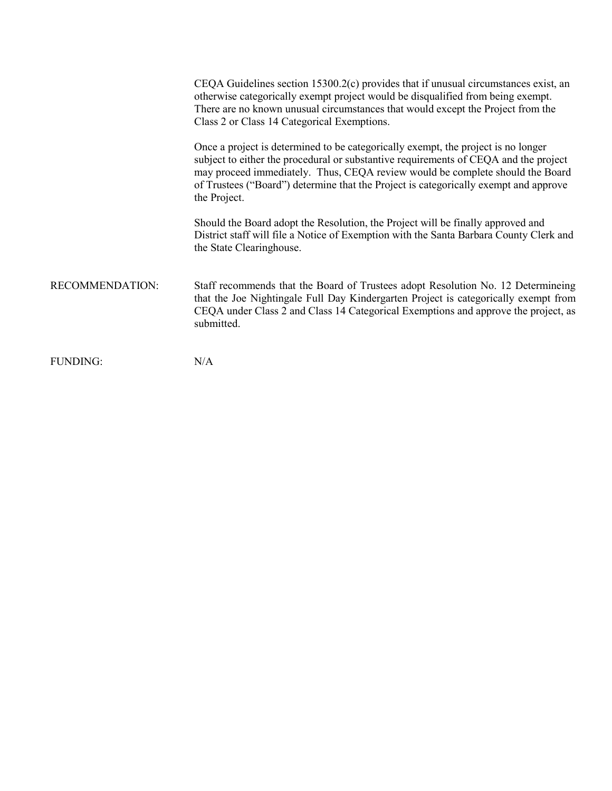|                 | CEQA Guidelines section $15300.2(c)$ provides that if unusual circumstances exist, an<br>otherwise categorically exempt project would be disqualified from being exempt.<br>There are no known unusual circumstances that would except the Project from the<br>Class 2 or Class 14 Categorical Exemptions.                                                         |
|-----------------|--------------------------------------------------------------------------------------------------------------------------------------------------------------------------------------------------------------------------------------------------------------------------------------------------------------------------------------------------------------------|
|                 | Once a project is determined to be categorically exempt, the project is no longer<br>subject to either the procedural or substantive requirements of CEQA and the project<br>may proceed immediately. Thus, CEQA review would be complete should the Board<br>of Trustees ("Board") determine that the Project is categorically exempt and approve<br>the Project. |
|                 | Should the Board adopt the Resolution, the Project will be finally approved and<br>District staff will file a Notice of Exemption with the Santa Barbara County Clerk and<br>the State Clearinghouse.                                                                                                                                                              |
| RECOMMENDATION: | Staff recommends that the Board of Trustees adopt Resolution No. 12 Determineing<br>that the Joe Nightingale Full Day Kindergarten Project is categorically exempt from<br>CEQA under Class 2 and Class 14 Categorical Exemptions and approve the project, as<br>submitted.                                                                                        |
| <b>FUNDING:</b> | N/A                                                                                                                                                                                                                                                                                                                                                                |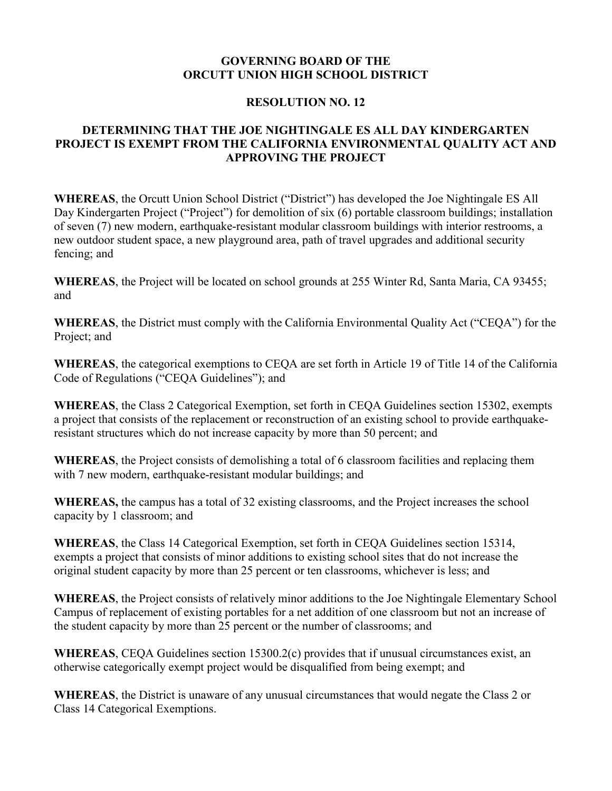#### **GOVERNING BOARD OF THE ORCUTT UNION HIGH SCHOOL DISTRICT**

#### **RESOLUTION NO. 12**

## **DETERMINING THAT THE JOE NIGHTINGALE ES ALL DAY KINDERGARTEN PROJECT IS EXEMPT FROM THE CALIFORNIA ENVIRONMENTAL QUALITY ACT AND APPROVING THE PROJECT**

WHEREAS, the Orcutt Union School District ("District") has developed the Joe Nightingale ES All Day Kindergarten Project ("Project") for demolition of six (6) portable classroom buildings; installation of seven (7) new modern, earthquake-resistant modular classroom buildings with interior restrooms, a new outdoor student space, a new playground area, path of travel upgrades and additional security fencing; and

**WHEREAS**, the Project will be located on school grounds at 255 Winter Rd, Santa Maria, CA 93455; and

**WHEREAS**, the District must comply with the California Environmental Quality Act ("CEQA") for the Project; and

**WHEREAS**, the categorical exemptions to CEQA are set forth in Article 19 of Title 14 of the California Code of Regulations ("CEQA Guidelines"); and

**WHEREAS**, the Class 2 Categorical Exemption, set forth in CEQA Guidelines section 15302, exempts a project that consists of the replacement or reconstruction of an existing school to provide earthquakeresistant structures which do not increase capacity by more than 50 percent; and

**WHEREAS**, the Project consists of demolishing a total of 6 classroom facilities and replacing them with 7 new modern, earthquake-resistant modular buildings; and

**WHEREAS,** the campus has a total of 32 existing classrooms, and the Project increases the school capacity by 1 classroom; and

**WHEREAS**, the Class 14 Categorical Exemption, set forth in CEQA Guidelines section 15314, exempts a project that consists of minor additions to existing school sites that do not increase the original student capacity by more than 25 percent or ten classrooms, whichever is less; and

**WHEREAS**, the Project consists of relatively minor additions to the Joe Nightingale Elementary School Campus of replacement of existing portables for a net addition of one classroom but not an increase of the student capacity by more than 25 percent or the number of classrooms; and

**WHEREAS**, CEQA Guidelines section 15300.2(c) provides that if unusual circumstances exist, an otherwise categorically exempt project would be disqualified from being exempt; and

**WHEREAS**, the District is unaware of any unusual circumstances that would negate the Class 2 or Class 14 Categorical Exemptions.